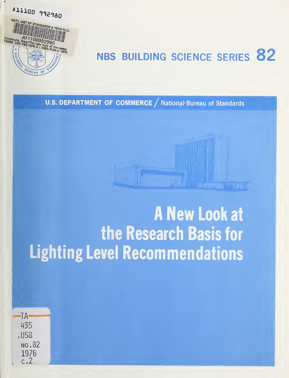

# NBS BUILDING SCIENCE SERIES 82

U.S. DEPARTMENT OF COMMERCE / National Bureau of Standards

# **A New Look at** the Research Basis for **Lighting Level Recommendations**

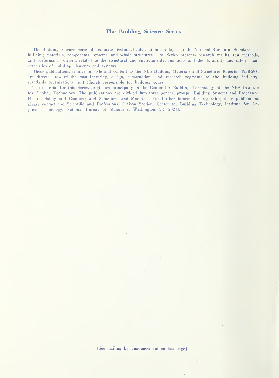## The Building Science Series

The Building Science Series disseminates technical information developed at the National Bureau of Standards on building materials, components, systems, and whole structures. The Series presents research results, test methods, and performance criteria related to the structural and environmental functions and the durability and safety characteristics of building elements and systems.

These publications, similar in style and content to the NBS Building Materials and Structures Reports (1938-59), are directed toward the manufacturing, design, construction, and research segments of the building industry, standards organizations, and officials responsible for building codes.

The material for this Series originates principally in the Center for Building Technology of the NBS Institute for Applied Technology. The publications are divided into three general groups: Building Systems and Processes; Ffealth, Safety and Comfort; and Structures and Materials. For further information regarding these publications please contact the Scientific and Professional Liaison Section, Center for Building Technology, Institute for Applied Technology, National Bureau of Standards, Washington, D.C. 20234.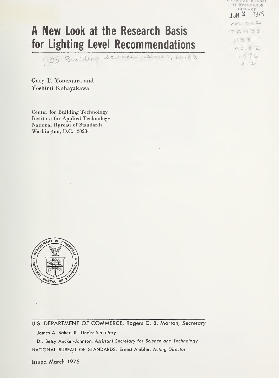# A New Look at the Research Basis for Lighting Level Recommendations

155 Building  $\triangle$  cier co,  $\therefore$   $\triangle$  $\qquad \qquad$   $\qquad$   $\qquad$   $\qquad$   $\qquad$   $\qquad$   $\qquad$   $\qquad$   $\qquad$   $\qquad$   $\qquad$   $\qquad$   $\qquad$   $\qquad$   $\qquad$   $\qquad$   $\qquad$   $\qquad$   $\qquad$   $\qquad$   $\qquad$   $\qquad$   $\qquad$   $\qquad$   $\qquad$   $\qquad$   $\qquad$   $\qquad$   $\qquad$   $\qquad$   $\qquad$   $\qquad$   $\qquad$   $\qquad$   $\qquad$   $\qquad$   $\$ 

*HARA* LIU*NAL*, BULLOAI OF BTAYDARDS LIBRARY  $JUN<sup>2</sup>$ 

> $00 - 00$  $A$  $B$  $\cdots$  $10, 2$

> > $1 - 76$  $12$

1976

Gary T. Yonemura and Yoshimi Kohayakawa

Center for Building Technology Institute for Applied Technology National Bureau of Standards Washington, D.C. 20234



U.S. DEPARTMENT OF COMMERCE, Rogers C. B. Morton, Secretary James A. Baker, III, Under Secrefary Dr. Betsy Ancker-Johnson, Assisiani Secreiary for Science and Technology NATIONAL BUREAU OF STANDARDS, Ernest Ambler, Acfing Direcior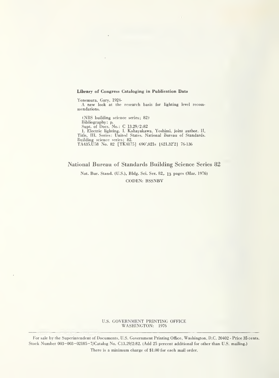#### Library of Congress Cataloging in Publication Data

Yonemura, Gary, 1924-<br>A new look at the research basis for lighting level recommendations.

(NBS building science series; 82) Bibliography: p. Supt. of Docs. No.: C 13.29/2:82 1. Electric lighting. 1. Kohayakawa, Yoshimi, joint author. 11. Title. III. Series: United States. National Bureau of Standards. Building science series; 82. TA435.U58 No. 82 [TK4175] 690'.021s [621.32'2] 76-136

National Bureau of Standards Building Science Series 82

Nat. Bur. Stand. (U.S.), Bldg. Sci. Ser. 82,. 13 pages (Mar. 1976) CODEN: BSSNBV

> U.S. GOVERNMENT PRINTING OFFICE WASHINGTON: <sup>1976</sup>

For sale by the Superintendent of Documents, U.S. Government Printing Office, Washington, D.C. 20402 - Price 35 cents. Stock Number 003-003-02185-7/Catalog No. C13.29/2:82. (Add 25 percent additional for other than U.S. mailing.) There is a minimum charge of \$1.00 for each mail order.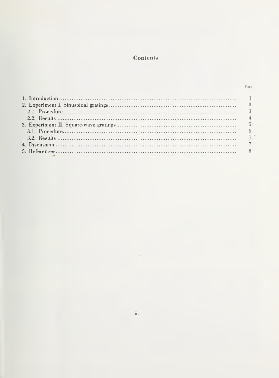# **Contents**

Page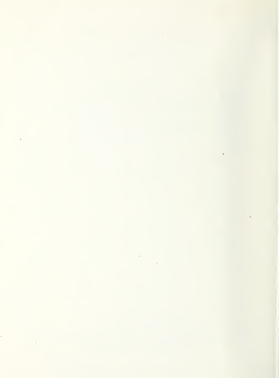$\mathbf{E}(\mathbf{r},\mathbf{r})$  ,  $\mathbf{r}$  ,  $\mathbf{r}$  ,  $\mathbf{r}$  ,  $\mathbf{r}$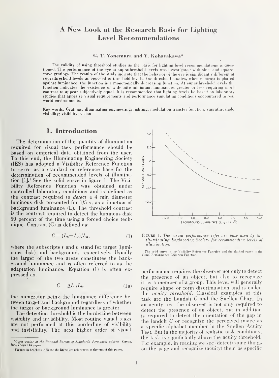# A New Look at the Research Basis for Lighting Level Recommendations

#### G. T. Yonemura and Y. Kohayakawa\*

The validity of using threshold studies as the hasis for lighting level recommendations is questioned. The performance of the eye at suprathreshold levels was investigated with sine- and squarewave gratings. The results of the study indicate that the behavior of the eye is significantly different at suprathreshold levels as opposed to threshold levels. For threshold studies, when contrast is plotted against luminance, the function is a monotonically decreasing function. At suprathreshold levels the function indicates the existence of a definite minimum, luminances greater or less requiring more contrast to appear subjectively equal. It is recommended that lighting levels be based on laboratory studies that appraise visual requirements and performance simulating conditions encountered in real world environments.

Key words: Gratings; illuminating engineering; lighting; modulation transfer function: suprathreshold visibility; visibility; vision.

### 1. Introduction

The determination of the quantity of illumination required for visual task performance should be based on empirical data obtained from the user. To this end, the Illuminating Engineering Society<br>
(IES) has adopted a Visibility Reference Function<br>
to serve as a standard or reference base for the<br>
determination of recommended levels of illumina-<br>
tion [1].<sup>1</sup> See th (lES) has adopted a Visibility Reference Function to serve as a standard or reference base for the determination of recommended levels of illumination  $[1]$ .<sup>1</sup> See the solid curve in figure 1. The Visibility Reference Function was obtained under controlled laboratory conditions and is defined as the contrast required to detect a 4 min diameter luminous disk presented for 1/5 s. as a function of background luminance (L). The threshold contrast is the contrast required to detect the luminous disk 50 percent of the time using a forced choice tech nique. Contrast (C) is defined as:

$$
C = (L_b - L_t)/L_b, \tag{1}
$$

where the subscripts  $t$  and  $b$  stand for target (luminous disk) and background, respectively. Usually the larger of the two areas constitutes the background luminance and is often referred to as the adaptation luminance. Equation (1) is often ex pressed as:

$$
C = |\Delta L| / L_b, \tag{1a}
$$

the numerator being the luminance difference be tween target and background regardless of whether the target or background luminance is greater.

The detection threshold is the borderline between visibility and invisibility. Most routine visual tasks are not performed at this borderline of visibility and invisibility. The next higher order of visual



•

FIGURE 1. The visual performance reference base used by the Illuminating Engineering Society for recommending levels of illumination.

The solid curve is the Visibility Reference Function and the dashed curve is the Visual Performance Criterion Function.

performance requires the observer not only to detect the presence of an object, but also to recognize it as a member of a group. This level will generally require shape or form discrimination and is called the acuity threshold. Classical examples of this task are the Landolt C and the Snellen Chart. In an acuity test the observer is not only required to detect the presence of an object, but in addition is required to detect the orientation of the gap in the landolt  $C$  or recognize the perceived image as a specific alphabet member in the Snellen Acuity Test. But in the majority of realistic task conditions, the task is significantly above the acuity threshold. For example, in reading we see (detect) some things on the page and recognize (acuity) them as specific

<sup>\*</sup>Guest worker at the National Bureau of Standards. Permanent address: Canon, Inc., Tokyo 144 Japan.

<sup>&#</sup>x27; Figures in brackets indicate the literature references al the end of this paper.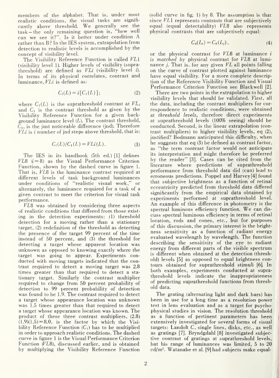members of the alphabet. That is, under most realistic conditions, the visual tasks are significantly above threshold. We generally see the task — the only remaining question is, "how well can we see it?". Is it better under condition A rather than B? In the lES system, extrapolation from detection to realistic levels is accomplished by the concept of visibility level.

The Visibility Reference Function is called VL1 (visibility level 1). Higher levels of visibility (suprathreshold) are defined as  $VLi$  (visibility level i). In terms of its physical correlates, contrast and luminance,  $V_{Li}$  is defined as:

$$
C_i(L) = i[C_1(L)]; \qquad (2)
$$

where  $C_i(L)$  is the suprathreshold contrast at  $VL_i$ and  $C_1$  is the contrast threshold as given by the Visibility Reference Function for a given background luminance level  $(L)$ . The contrast threshold,  $C_1$ , is the just noticeable difference (jnd). Therefore  $V_{\ell}$  is i number of jnd steps above threshold, that is:

$$
C_i(L)/C_1(L) = VLi(L). \tag{3}
$$

The lES in its handbook (5th ed.) [1] defines  $VL8$   $(i=8)$  as the Visual Performance Criterion Function, shown by the dashed curve in figure 1. That is, VL8 is the luminance contrast required at different levels of task background luminances under conditions of "realistic visual work," or alternately, the luminance required for a task of a given contrast to meet the criterion for visual task performance.

VLS was obtained by considering three aspects of realistic conditions that differed from those exist ing in the detection experiments: (1) threshold detection for a moving rather than a stationary target, (2) redefinition of the threshold as detecting the presence of the target 99 percent of the time instead of 50 percent, and (3) the threshold for detecting a target whose apparent location was unknown as opposed to knowing exactly where the target was going to appear. Experiments con ducted with moving targets indicated that the contrast required to detect a moving target was 2.8 times greater than that required to detect a sta tionary target. Similarly the contrast multiplier required to change from 50 percent probability of detection to 99 percent probability of detection was found to be 1.9. The contrast required to detect a target whose appearance location was unknown was 1.5 times greater than that required to detect a target whose appearance location was known. The product of these three contrast multipliers, (2.8)  $(1.9)(1.5) = 8.0$ , is the factor by which the Visibility Reference Function  $(C_1)$  has to be multiplied in order to approach realistic conditions. The dashed curve in figure <sup>1</sup> is the Visual Performance Criterion Function  $W<sub>L</sub>8$ , discussed earlier, and is obtained by multiplying the Visibility Reference Function

(solid curve in fig. 1) by 8. The assumption is that since VLl represents contrasts that are subjectively equal (equal detectability) VLS also represents physical contrasts that are subjectively equal:

$$
C_8(L_i) = C_8(L_j), \qquad (4)
$$

or the physical contrast for VLS at luminance <sup>i</sup> is matched by physical contrast for VL8 at luminance *j*. That is, for any given  $VL$  all points falling on the curve of contrast plotted against luminance have equal visibility. For a more complete description of the Reference Visibility Function and Visual Performance Criterion Function see Blackwell [2].

There are two points in the extrapolation to higher visibility levels that should be validated. First, all the data, including the contrast multipliers for cor respondence to realistic conditions, were obtained at threshold levels, therefore direct experiments at suprathreshold levels (100% seeing) should be conducted. Second, is the linear extrapolation (contrast multipliers) to higher visibility levels, eq (2), justified? Bodmann anticipated this difficulty, when he suggests that eq (3) be defined as contrast factor, as "the term contrast factor would not anticipate its interpretation and might therefore be preferred by the reader" [3]. Cases can be cited from the literature where predictions of suprathreshold performance from threshold data did (can) lead to erroneous predictions. Poppel and Harvey [4] found that subjective brightness as a function of retinal eccentricity predicted from threshold data differed significantly from the empirical data obtained by experiments performed at suprathreshold level. An example of this difference in photometry is the spectral luminous efficiency function. We can dis cuss spectral luminous efficiency in terms of retinal location, rods and cones, etc., but for purposes of this discussion, the primary interest is the bright ness sensitivity as a function of radiant energy evaluated wavelength by wavelength. The function describing the sensitivity of the eye to radiant energy from different parts of the visible spectrum is different when obtained at the detection (threshold) levels [5] as opposed to equal brightness contours obtained for suprathreshold stimuli [6\ In both examples, experiments conducted at supra threshold levels indicate the inappropriateness of predicting suprathreshold functions from threshold data.

The grating (alternating light and dark bars) has been in use for a long time as a resolution power test in lens evaluation and as a target for psychophysical studies in vision. The resolution threshold as a function of pertinent parameters has been extensively investigated for several forms of visual targets: Landolt C, single lines, disks, etc., as well as gratings [7]. Bryndgdahl [8] investigated subjective contrast of gratings at suprathreshold levels, but his range of luminances was limited, 5 to 20  $cd/m^2$ . Watanabe et al. [9] had subjects make equal-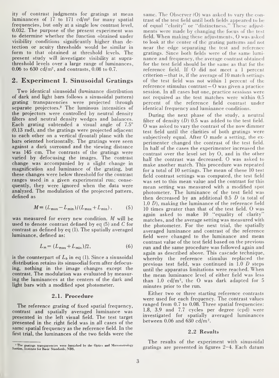ity of contrast judgments for gratings at mean luminances of  $17$  to  $171$  cd/m<sup>2</sup> for many spatial frequencies, but only at a single low contrast level, 0.032. The purpose of the present experiment was to determine whether the function obtained under visibility conditions significantly higher than de tection or acuity thresholds would be similar in form to that obtained at threshold levels. The present study will investigate visibility at supra threshold levels over a large range of luminances, 0.06 to 630 cd/m', and contrasts, 0.08 to 0.7.

### 2. Experiment I. Sinusoidal Gratings

Two identical sinusoidal (luminance distribution of dark and light bars follows a sinusoidal pattern) grating transparencies were projected through separate projectors.<sup>2</sup> The luminous intensities of the projectors were controlled by neutral density filters and neutral density wedges and balances. Each grating subtended a visual angle of 7.5° (0.13 rad), and the gratings were projected adjacent to each other on a vertical (frontal) plane with the bars oriented horizontally. The gratings were seen against a dark surround and the viewing distance was 145 cm. The contrasts of the gratings were varied by defocusing the images. The contrast change was accompanied by a slight change in magnification and luminance of the grating, but these changes were below threshold for the contrast ranges used in a given experimental run; consequently, they were ignored when the data were analyzed. The modulation of the projected pattern, defined as

$$
M = (L_{\text{max}} - L_{\text{min}}) / (L_{\text{max}} + L_{\text{min}}), \quad (5)
$$

was measured for every new condition.  $M$  will be used to denote contrast defined by eq  $(5)$  and C for contrast as defined by eq (1). The spatially averaged luminance, defined as:

$$
L_m = (L_{\text{max}} + L_{\text{min}})/2, \tag{6}
$$

is the counterpart of  $L_b$  in eq (1). Since a sinusoidal distribution retains its sinusodial form after defocusing, nothing in the image changes except the contrast. The modulation was evaluated by measuring the luminances at the centers of the dark and light bars with a modified spot photometer.

#### 2.1. Procedure

The reference grating of fixed spatial frequency, contrast and spatially averaged luminance was presented in the left visual field. The test target presented in the right field was in all cases of the same spatial frequency as the reference field. In the first trial, the luminances of the two fields were the

same. The Observer (O) was asked to vary the contrast of the test field until both fields appeared to be of equal "clarity" or "distinctness." These adjustments were made by changing the focus of the test field. When making these adjustments, O was asked to look at the center of the grating patterns and not near the edge separating the test and reference gratings. Since both fields were of the same lumi nance and frequency, the average contrast obtained for the test field should be the same as that for the reference field. If 0 did not meet <sup>a</sup> <sup>1</sup> percent criterion — that is, if the average of <sup>10</sup> match settings of the test field was not within <sup>1</sup> percent of the reference stimulus contrast — O was given <sup>a</sup> practice session. In all cases but one, practice sessions were not required as the test matches were within 0.5 percent of the reference field contrast under identical frequency and luminance conditions.

During the next phase of the study, a neutral filter of density  $(D)$  0.5 was added to the test field. O was asked to vary the contrast of the now dimmer test field until the clarities of both gratings were subjectively equal. After O made <sup>a</sup> setting, the ex perimenter changed the contrast of the test field. In half of the cases the experimenter increased the contrast over the level set by O, and in the other half the contrast was decreased. O was asked to make another match. This procedure was repeated for a total of 10 settings. The mean of these 10 test field contrast settings was computed, the test field was set to this mean value and the contrast for this mean setting was measured with a modified spot photometer. The luminance of the test field was then decreased by an additional  $0.5$   $D$  (a total of 1.0 D), making the luminance of the reference field <sup>10</sup> times greater than that of the test field. O was again asked to make 10 "equality of clarity" matches, and the average setting was measured with the photometer. For the next trial, the spatially averaged luminance and contrast of the reference field were changed to the luminance and mean contrast value of the test field based on the previous run and the same procedure was followed again and again as described above. This cascade technique, whereby the reference stimulus replaced the previous test field, was continued in  $1.0$   $D$  steps until the apparatus limitations were reached. When the mean luminance level of either field was less than  $1.0 \text{ cd/m}^2$ , the O was dark adapted for 5 minutes prior to the run.

Either two or three starting reference contrasts were used for each frequency. The contrast values ranged from 0.7 to 0.08. Three spatial frequencies: 1.8, 3.9 and 7.7 cycles per degree (cpd) were investigated for spatially averaged luminances between 0.06 and  $630$  cd/m<sup>2</sup>.

#### 2.2 Results

The results of the experiment with sinusoidal gratings are presented in figures 2—4. Each datum

<sup>&</sup>lt;sup>2</sup> The gratings transparencies were furnished by the Optics and Micrometrology Section, Institute for Basic Standards, NBS.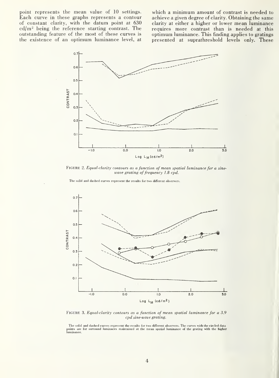point represents the mean value of 10 settings. Each curve in these graphs represents a contour of constant clarity, with the datum point at 630  $cd/m<sup>2</sup>$  being the reference starting contrast. The outstanding feature of the most of these curves is the existence of an optimum luminance level, at

which a minimum amount of contrast is needed to achieve a given degree of clarity. Obtaining the same clarity at either a higher or lower mean luminance requires more contrast than is needed at this optimum luminance. This finding applies to gratings presented at suprathreshold levels only. These



FIGURE 2. Equal-clarity contours as a function of mean spatial luminance for a sinewave grating of frequency  $1.8$  cpd.

The solid and dashed curves represent the results for two different observers.



FIGURE 3. Equal-clarity contours as a function of mean spatial luminance for a 3.9 cpd sine-wave grating.

The solid and dashed curves represent the results for two different observers. The curves with the circled data<br>points are for surround luminaces maintained at the mean spatial luminance of the grating with the higher<br>lumi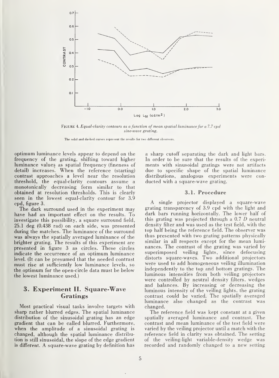

FIGURE 4. Equal-clarity contours as a function of mean spatial luminance for a 7.7 cpd sine-wave grating.

The solid and dashed curves represent the results for two different observers.

optimum luminance levels appear to depend on the frequency of the grating, shifting toward higher luminance values as spatial frequency (fineness of detail) increases. When the reference (starting) contrast approaches a level near the resolution threshold, the equal-clarity contours assume a monotonically decreasing form similar to that obtained at resolution thresholds. This is clearly seen in the lowest equal-clarity contour for 3.9 cpd, figure 3.

The dark surround used in the experiment may have had an important effect on the results. To investigate this possibihty, a square surround field, 25.1 deg (0.438 rad) on each side, w^as presented during the matches. The luminance of the surround was always the spatially averaged luminance of the brighter grating. The results of this experiment are presented in figure 3 as circles. These circles indicate the occurrence of an optimum luminance level. (It can be presumed that the needed contrast must rise at sufficiently low luminance levels, so the optimum for the open-circle data must be below the lowest luminance used.)

### 3. Experiment II. Square-Wave Gratings

Most practical visual tasks involve targets with sharp rather blurred edges. The spatial luminance distribution of the sinusoidal grating has an edge gradient that can be called blurred. Furthermore, when the amplitude of a sinusoidal grating is changed, although the spatial luminance distribution is stiU sinusoidal, the slope of the edge gradient is different. A square-wave grating by definition has a sharp cutoff separating the dark and light bars. In order to be sure that the results of the experiments with sinusoidal gratings were not artifacts due to specific shape of the spatial luminance distributions, analogous experiments were con ducted with a square-wave grating.

#### 3.1. Procedure

A single projector displayed <sup>a</sup> square-wave grating transparency of 3.9 cpd with the light and dark bars running horizontally. The lower half of this grating was projected through <sup>a</sup> 0.7 D neutral density filter and was used as the test field, with the top half being the reference field. The observer was thus presented with two grating patterns physically similar in all respects except for the mean lumi nances. The contrast of the grating was varied by superimposed veiling lights, since defocusing distorts square-waves. Two additional projectors were used to add homogeneous veiling illumination independently to the top and bottom gratings. The luminous intensities from both veiling projectors were controlled by neutral density filters, wedges and balances. By increasing or decreasing the luminous intensity of the veiling lights, the grating contrast could be varied. The spatially averaged luminance also changed as the contrast was changed.

The reference field was kept constant at a given spatially averaged luminance and contrast. The contrast and mean luminance of the test field were varied by the veiling projector until a match with the reference field in clarity was obtained. The setting of the veiling-light variable-density wedge was recorded and randomly changed to a new setting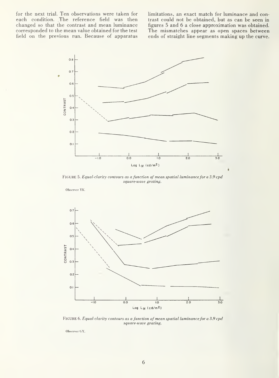for the next trial. Ten observations were taken for each condition. The reference field was then changed so that the contrast and mean luminance corresponded to the mean value obtained for the test field on the previous run. Because of apparatus

limitations, an exact match for luminance and contrast could not be obtained, but as can be seen in figures 5 and 6 a close approximation was obtained. The mismatches appear as open spaces between ends of straight line segments making up the curve.



FIGURE 5. Equal-clarity contours as a function of mean spatial luminance for a 3.9 cpd square-wave grating.

Observer YK.



FIGURE 6. Equal-clarity contours as a function of mean spatial luminance for a 3.9 cpd square-wave grating.

Observer GY.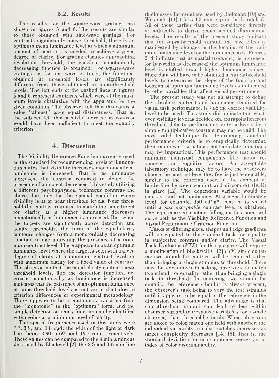#### 3.2. Results

The results for the square-wave gratings are shown in figures 5 and 6. The results are similar to those obtained with sine-wave gratings. For contrasts significantly above threshold, there is an optimum mean luminance level at which a minimum amount of contrast is needed to achieve a given degree of clarity. For grating clarities approaching resolution threshold, the classical monotonically decreasing function is obtained. For square-wave gratings, as for sine-wave gratings, the functions obtained at threshold levels are significantly different from those obtained at suprathreshold levels. The left ends of the dashed lines in figures 5 and 6 represent contrasts which were at the maximum levels obtainable with the apparatus for the given condition. The observer felt that this contrast value "almost" gave equal distinctness. That is, the subject felt that a slight increase in contrast would have been sufficient to meet the equality criterion.

#### 4. Discussion

The Visibility Reference Function currently used as the standard for recommending levels of illumination states that visibihty increases monotonically as luminance is increased. That is, as luminance increases, the contrast required to detect the presence of an object decreases. This study utilizing a different psychophysical technique confirms the above, but only for the special condition where visibility is at or near threshold levels. Near thres hold the contrast required to match the same target for clarity at a higher luminance decreases monotonically as luminance is increased. But, when the targets are significantly above detection and acuity thresholds, the form of the equal-clarity contours changes from a monotonically decreasing function to one indicating the presence of a minimum contrast level. There appears to be an optimum luminance level where the target is seen with a given degree of clarity at a minimum contrast level, or with maximum clarity for <sup>a</sup> fixed value of contrast. The observation that the equal-clarity contours near threshold levels, like the detection function, decrease monotonically as luminance is increased, indicates that the existence of an optimum luminance at suprathreshold levels is not an artifact due to criterion differences or experimental methodology. There appears to be a continuous transition from the "monotonic" to the "optimum" form, and the simple detection or acuity function can be identified with seeing at a minimum level of clarity.

The spatial frequencies used in this study were  $7.7, 3.9,$  and  $1.8$  cpd; the width of the light or dark bars being 3.90, 7.69, and 16.7 min, respectively. These values can be compared to the 4 min luminous disk used by Blackwell  $[2]$ , the 2.5 and 1.6 min line thicknesses for numbers used by Bodmann [10] and Weston's  $[11]$  1.5 to 4.5 min gap in the Landolt C. All of these earlier data were considered directly or indirectly to derive recommended illumination levels. The results of the present study indicate that for suprathreshold stimuli, the size effect is manifested by changes in the location of the optimum luminance level on the luminance axis. Figures 2-4 indicate that as spatial frequency is increased (or bar-width is decreased) the optimum luminance level is shifted toward higher luminance values. More data will have to be obtained at suprathreshold levels to determine the slope of the function and location of optimum luminance levels as influenced by other variables that affect visual performance.

The present study was not an attempt to define the absolute contrast and luminance required for visual task performance. Is VLS the correct visibility level to be used? This study did indicate that what ever visibility level is decided on, extrapolation from threshold data to performance criteria levels by a simple multiplicative constant may not be valid. The most valid technique for determining standard performance criteria is to empirically determine them under work situations, but such determinations may be impractical. This performance test should minimize nonvisual components like motor responses and cognitive factors. An acceptable laboratory technique may be to have the observers choose the contrast level they feel is just acceptable, similar to the criterion used in the concept of borderline between comfort and discomfort (BCD) in glare [12]. The dependent variable would be contrast and not luminance. At a given luminance level, for example,  $150 \text{ cd/m}^2$ , contrast is varied until a *just acceptable* contrast level is obtained. The equi-contrast contour falling on this point will serve both as the Visibility Reference Function and Visual Performance Criterion Function.

Tasks of differing sizes, shapes and edge gradients will be equated to the standard task for equality in subjective contrast and/or clarity. The Visual Task Evaluator  $(VTE)$  for this purpose will require a modification of Blackwell's [13] VTE, since equating two stimuli for contrast wiU be required rather than bringing a single stimulus to threshold. There may be advantages to asking observers to match two stimuli for equality rather than bringing a single task to threshold. In matching two stimuh for equality the reference stimulus is always present, the observer's task being to vary the test stimulus until it appears to be equal to the reference in the dimension being compared. The advantage is that suprathreshold stimuli can lead to less within observer variability (response variabihty for a single observer) than threshold stimuli. When observers are asked to color match one field with another, the individual variabihty in color matches increases as target conspicuity decreases [14, 15]. That is, the standard deviation for color matches serves as an index of color discriminabihty.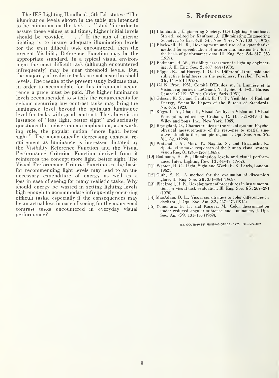The lES Lighting Handbook, 5th Ed. states: "The illumination levels shown in the table are intended to be minimum on the task ..." and "in order to assure these values at all times, higher initial levels should be provided . . . ." If the aim of interior lighting is to insure adequate illumination levels for the most difficult task encountered, then the present Visibility Reference Function may be the appropriate standard. In a typical visual environment the most difficult task (although encountered infrequently) may be near threshold levels. But, the majority of realistic tasks are not near threshold levels. The results of the present study indicate that, in order to accomodate for this infrequent occur rence a price must be paid. The higher luminance levels recommended to satisfy the requirements for seldom occurring low contrast tasks may bring the luminance level beyond the optimum luminance level for tasks with good contrast. The above is an instance of "less light, better sight" and seriously questions the indiscriminate application, as a working rule, the popular notion "more light, better sight." The monotonically decreasing contrast requirement as luminance is increased dictated by the Visibihty Reference Function and the Visual Performance Criterion Function derived from it reinforces the concept more light, better sight. The Visual Performance Criteria Function as the basis for recommending light levels may lead to an unnecessary expenditure of energy as well as a loss in ease of seeing for many realistic tasks. Why should energy be wasted in setting lighting levels high enough to accommodate infrequently occurring difficult tasks, especially if the consequences may be an actual loss in ease of seeing for the many good contrast tasks encountered in everyday visual performance?

#### 5. References

- [1] Illuminating Engineering Society, lES Lighting Handbook, 5th ed.. edited by Kaufman, J., (Illuminating Engineering Society, 345 East 47th St., New York, N.Y. 10017, 1972).
- [2] Blackwell, H. R., Development and use of a quantitative method for specification of interior illumination levels on the basis of performance data. III. Eng. Soc. 54, 317-353 (1959).
- [3] Bodmann, H. W., Visibility assessment in lighting engineering, J. 111. Eng. Soc. 2 , 437-444 (1973).
- [4] Pöppel, E., and Harvey, L. O., Jr., Differential threshold and subjective brightness in the periphery, Psychol. Forsch, 36, 145-161 (1973).
- [5] CLE. Proc. 1951, Comite D'Etudes sur la Lumiere et la Vision, rapporteur, LeGrand, Y. 1, Sec. 4, 1-31, Bureau Central CLE., 57 rue Cuvier, Paris (1951).
- [6] Gibson, K. S., and Tyndall, E. P. T., Visibihty of Radiant Energy, Scientific Papers of the Bureau of Standards, No. 475, 1923.
- [7] Riggs. L. A., Chap. 11, Visual Acuity, in Vision and Visual Perception, edited by Graham, C. H., 321-349 (John Wiley and Sons, Inc., New York, 1969).
- [8] Bryngdahl, O., Characteristics of the visual system: Psychophysical measurements of the response to spatial sine wave stimuli in the photopic region, J. Opt. Soc. Am. 56, 811-821 (1966).
- [9] Watanabe, A., Mori, T., Nagata, S., and Hiwatashi, K., Spatial sine-wave responses of the human visual system, vision Res. 8, 1245-1263 (1968).
- [10] Bodmann, H. W., Illumination levels and visual performance. Inter. Lighting Rev. 13, 41-47, (1962).
- [11] Weston, H. C., Light, Sight and Work (H. K. Lewis, London, 1962).
- [12] Guth. S. K.. A method for the evaluation of discomfort glare. 111. Eng. Soc. 58, 351-364 (1968).
- [13] BlackweU, H. R., Development of procedures in instrumentation for visual task evaluation, Ill. Eng. Soc. 65, 267-291 (1970).
- [14] MacAdam, D. L., Visual sensitivities to color differences in daylight, J. Opt. Soc. Am. 32,247-274(1942).
- [15] Yonemura, G. T., and Kasuya, M., Color, discrimination under reduced angular subtense and luminance, J. Opt. Soc. Am. 59, 131-135 (1969).

U.S. GOVERNMENT PRINTING OFFICE : 1976 OL-599-852

×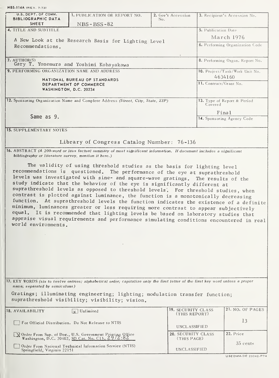| <b>NBS-114A (REV. 7-73)</b>                                                                                                                                                                                                                                                                                                                                                                                                                                                                                                                                                                                                              |                                   |                        |                                     |
|------------------------------------------------------------------------------------------------------------------------------------------------------------------------------------------------------------------------------------------------------------------------------------------------------------------------------------------------------------------------------------------------------------------------------------------------------------------------------------------------------------------------------------------------------------------------------------------------------------------------------------------|-----------------------------------|------------------------|-------------------------------------|
| U.S. DEPT. OF COMM.<br>1. PUBLICATION OR REPORT NO.<br><b>BIBLIOGRAPHIC DATA</b><br><b>SHEET</b><br>$NBS - BSS - 82$                                                                                                                                                                                                                                                                                                                                                                                                                                                                                                                     | 2. Gov't Accession<br>No.         |                        | 3. Recipient's Accession No.        |
| 4. TITLE AND SUBTITLE<br>A New Look at the Research Basis for Lighting Level<br>Recommendations.                                                                                                                                                                                                                                                                                                                                                                                                                                                                                                                                         |                                   | 5. Publication Date    | March 1976                          |
|                                                                                                                                                                                                                                                                                                                                                                                                                                                                                                                                                                                                                                          |                                   |                        | 6. Performing Organization Code     |
| 7. AUTHOR(S)<br>Gary T. Yonemura and Yoshimi Kohayakawa                                                                                                                                                                                                                                                                                                                                                                                                                                                                                                                                                                                  |                                   |                        | 8. Performing Organ. Report No.     |
| 9. PERFORMING ORGANIZATION NAME AND ADDRESS<br>NATIONAL BUREAU OF STANDARDS<br>DEPARTMENT OF COMMERCE<br>WASHINGTON, D.C. 20234                                                                                                                                                                                                                                                                                                                                                                                                                                                                                                          |                                   |                        | 10. Project/Task/Work Unit No.      |
|                                                                                                                                                                                                                                                                                                                                                                                                                                                                                                                                                                                                                                          |                                   | 11. Contract/Grant No. | 4634160                             |
| 12. Sponsoring Organization Name and Complete Address (Street, City, State, ZIP)                                                                                                                                                                                                                                                                                                                                                                                                                                                                                                                                                         |                                   | Covered                | 13. Type of Report & Period         |
| Same as 9.                                                                                                                                                                                                                                                                                                                                                                                                                                                                                                                                                                                                                               |                                   |                        | Final<br>14. Sponsoring Agency Code |
| <b>15. SUPPLEMENTARY NOTES</b>                                                                                                                                                                                                                                                                                                                                                                                                                                                                                                                                                                                                           |                                   |                        |                                     |
|                                                                                                                                                                                                                                                                                                                                                                                                                                                                                                                                                                                                                                          |                                   |                        |                                     |
| Library of Congress Catalog Number: 76-136<br>16. ABSTRACT (A 200-word or less factual summary of most significant information. If document includes a significant                                                                                                                                                                                                                                                                                                                                                                                                                                                                       |                                   |                        |                                     |
| study indicate that the behavior of the eye is significantly different at<br>suprathreshold levels as opposed to threshold levels. For threshold studies, when<br>contrast is plotted against luminance, the function is a monotonically decreasing<br>function. At suprathreshold levels the function indicates the existence of a definite<br>minimum, luminances greater or less requiring more contrast to appear subjectively<br>equal. It is recommended that lighting levels be based on laboratory studies that<br>appraise visual requirements and performance simulating conditions encountered in real<br>world environments. |                                   |                        |                                     |
| 17. KEY WORDS (six to twelve entries; alphabetical order; capitalize only the first letter of the first key word unless a proper<br>name; separated by semicolons)<br>Gratings; illuminating engineering; lighting; modulation transfer function;<br>suprathreshold visibility; visibility; vision.                                                                                                                                                                                                                                                                                                                                      |                                   |                        |                                     |
| 18. AVAILABILITY<br>$x$ Unlimited                                                                                                                                                                                                                                                                                                                                                                                                                                                                                                                                                                                                        | 19. SECURITY CLASS                |                        | 21. NO. OF PAGES                    |
| For Official Distribution. Do Not Release to NTIS                                                                                                                                                                                                                                                                                                                                                                                                                                                                                                                                                                                        | (THIS REPORT)<br>UNCL ASSIFIED    |                        | 13                                  |
| Norder From Sup. of Doc., U.S. Government Printing Office<br>Washington, D.C. 20402, SD Cat. No. C13. 29/2:82                                                                                                                                                                                                                                                                                                                                                                                                                                                                                                                            | 20. SECURITY CLASS<br>(THIS PAGE) |                        | 22. Price                           |
| Order From National Technical Information Service (NTIS)<br>Springfield, Virginia 22151                                                                                                                                                                                                                                                                                                                                                                                                                                                                                                                                                  | UNCLASSIFIED                      |                        | 35 cents                            |

USCOMM-DC 29042-P74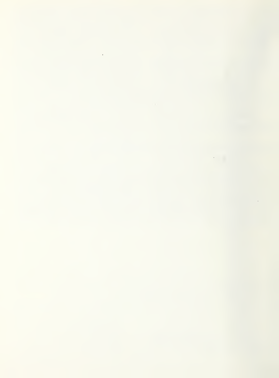$\epsilon_{\rm{max}}$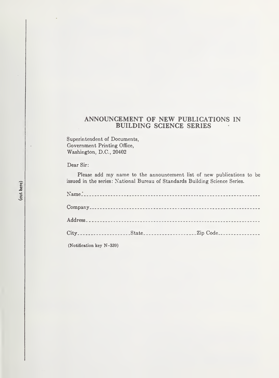# ANNOUNCEMENT OF NEW PUBLICATIONS IN BUILDING SCIENCE SERIES

Superintendent of Documents, Government Printing Office, Washington, D.C., 20402

Dear Sir:

Please add my name to the announcement list of new publications to be issued in the series: National Bureau of Standards Building Science Series.

(Notification key N-339)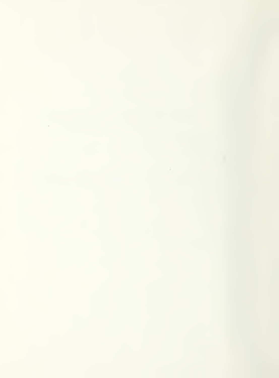$\label{eq:2.1} \mathcal{L}_{\mathcal{A}}(\mathcal{A}) = \mathcal{L}_{\mathcal{A}}(\mathcal{A}) \otimes \mathcal{L}_{\mathcal{A}}(\mathcal{A}).$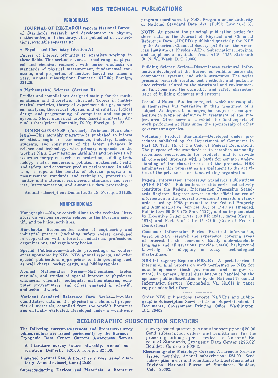#### PERIODICALS

JOURNAL OF RESEARCH reports National Bureau of Standards research and development in physics, mathematics, and chemistry. It is published in two sections, available separately:

#### • Physics and Chemistry (Section A)

Papers of interest primarily to scientists working in these fields. This section covers a broad range of physical and chemical research, with major emphasis on standards of physical measurement, fundamental constants, and properties of matter. Issued six times a year. Annual subscription: Domestic, \$17.00; Foreign, \$21.26.

#### • Mathematical Sciences (Section B)

Studies and compilations designed mainly for the mathematician and theoretical physicist. Topics in mathematical statistics, theory of experiment design, numerical analysis, theoretical physics and chemistry, logical design and programming of computers and computer systems. Short numerical tables. Issued quarterly. Annual subscription: Domestic, \$9.00; Foreign, \$11.25.

DIMENSIONS/NBS (formerly Technical News Bulletin) —This monthly magazine is published to inform scientists, engineers, businessmen, industry, teachers, students, and consumers of the latest advances in science and technology, with primary emphasis on the work at NBS. The magazine highlights and reviews such issues as energy research, fire protection, building tech nology, metric conversion, pollution abatement, health and safety, and consumer product performance. In addition, it reports the results of Bureau programs in measurement standards and techniques, properties of matter and materials, engineering standards and services, instrumentation, and automatic data processing.

Annual subscription: Domestic, \$9.45; Foreign, \$11.85.

#### NONPERIODICALS

Monographs—Major contributions to the technical liter ature on various subjects related to the Bureau's scientific and technical activities.

Handbooks—Recommended codes of engineering and industrial practice (including safety codes) developed in cooperation with interested industries, professional organizations, and regulatory bodies.

Special Publications—Include proceedings of confer ences sponsored by NBS, NBS annual reports, and other special publications appropriate to this grouping such as wall charts, pocket cards, and bibliographies.

Applied Mathematics Series—Mathematical tables, manuals, and studies of special interest to physicists, engineers, chemists, biologists, mathematicians, computer programmers, and others engaged in scientific and technical work.

National Standard Reference Data Series—Provides quantitative data on the physical and chemical properties of materials, compiled from the world's literature and critically evaluated. Developed under a world-wide

program coordinated by NBS. Program under authority of National Standard Data Act (Public Law 90-396).

NOTE: At present the principal publication outlet for these data is the Journal of Physical and Chemical Reference Data (JPCRD) published quarterly for NBS by the American Chemical Society (ACS) and the American Institute of Physics (AIP). Subscriptions, reprints, and supplements available from ACS, 1155 Sixteenth St. N. W., Wash. D. C. 20056.

Building Science Series—Disseminates technical infor- mation developed at the Bureau on building materials, components, systems, and whole structures. The series presents research results, test methods, and performance criteria related to the structural and environmental functions and the durability and safety characteristics of building elements and systems.

Technical Notes—Studies or reports which are complete in themselves but restrictive in their treatment of a subject. Analogous to monographs but ,not so comprehensive in scope or definitive in treatment of the subject area. Often serve as a vehicle for final reports of work performed at NBS under the sponsorship of other government agencies.

Voluntary Product Standards—Developed under pro cedures published by the Department of Commerce in Part 10, Title 15, of the Code of Federal Regulations. The purpose of the standards is to establish nationally recognized requirements for products, and to provide all concerned interests with a basis for common understanding of the characteristics of the products. NBS administers this program as a supplement to the activities of the private sector standardizing organizations.

Federal Information Processing Standards Publications (FIPS PUBS)—Publications in this series collectively constitute the Federal Information Processing Standards Register. Register serves as the official source of information in the Federal Government regarding stand ards issued by NBS pursuant to the Federal Property and Administrative Services Act of 1949 as amended, Public Law 89-306 (79 Stat. 1127), and as implemented by Executive Order 11717 (38 FR 12315, dated May 11, 1973) and Part <sup>6</sup> of Title <sup>15</sup> CFR (Code of Federal Regulations).

Consumer Information Series—Practical information, based on NBS research and experience, covering areas of interest to the consumer. Easily understandable language and illustrations provide useful background knowledge for shopping in today's technological marketplace.

NBS Interagency Reports (NBSIR)—A special series of interim or final reports on work performed by NBS for outside sponsors (both government and non-government). In general, initial distribution is handled by the sponsor; public distribution is by the National Technical Information Service (Springfield, Va. 22161) in paper copy or microfiche form.

Order NBS publications (except NBSIR's and Biblio graphic Subscription Services) from: Superintendent of Documents, Government Printing Office, Washington, D.C. 20402.

#### BIBLIOGRAPHIC SUBSCRIPTION SERVICES

The following current-awareness and literature-survey bibliographies are issued periodically by the Bureau: Cryogenic Data Center Current Awareness Service

- A literature survey issued biweekly. Annual subscription: Domestic, \$20.00; foreign, \$25.00.
- Liquefied Natural Gas. A literature survey issued quarterly. Annual subscription: \$20.00.

Superconducting Devices and Materials. A literature

survey issued quarterly. Annual subscription : \$20.00. Send subscription orders and remittances for the preceding bibliographic services to National Bureau of Standards, Cryogenic Data Center (275.02) Boulder, Colorado 80302.

Electromagnetic Metrology Current Awareness Service Issued monthly. Annual subscription: \$24.00. Send subscription order and remittance to Electromagnetics Division, National Bureau of Standards, Boulder, Colo. 80302.